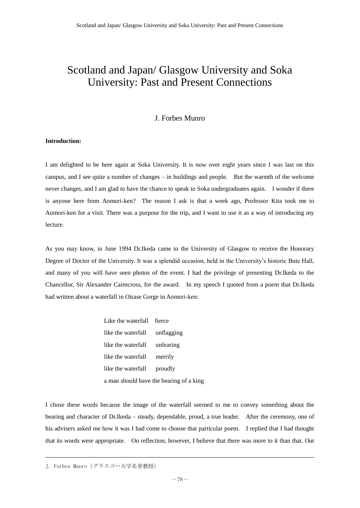## Scotland and Japan/ Glasgow University and Soka University: Past and Present Connections

## J. Forbes Munro

## **Introduction:**

I am delighted to be here again at Soka University. It is now over eight years since I was last on this campus, and I see quite a number of changes – in buildings and people. But the warmth of the welcome never changes, and I am glad to have the chance to speak to Soka undergraduates again. I wonder if there is anyone here from Aomori-ken? The reason I ask is that a week ago, Professor Kita took me to Aomori-ken for a visit. There was a purpose for the trip, and I want to use it as a way of introducing my lecture.

As you may know, in June 1994 Dr.Ikeda came to the University of Glasgow to receive the Honorary Degree of Doctor of the University. It was a splendid occasion, held in the University's historic Bute Hall, and many of you will have seen photos of the event. I had the privilege of presenting Dr.Ikeda to the Chancellor, Sir Alexander Cairncross, for the award. In my speech I quoted from a poem that Dr.Ikeda had written about a waterfall in Oirase Gorge in Aomori-ken:

> Like the waterfall fierce like the waterfall unflagging like the waterfall unfearing like the waterfall merrily like the waterfall proudly a man should have the bearing of a king

I chose these words because the image of the waterfall seemed to me to convey something about the bearing and character of Dr.Ikeda – steady, dependable, proud, a true leader. After the ceremony, one of his advisers asked me how it was I had come to choose that particular poem. I replied that I had thought that its words were appropriate. On reflection, however, I believe that there was more to it than that. Out

J. Forbes Munro(グラスゴー大学名誉教授)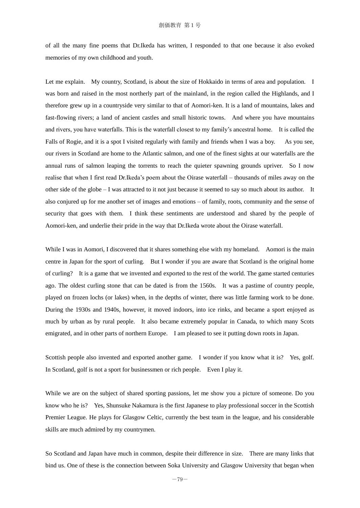of all the many fine poems that Dr.Ikeda has written, I responded to that one because it also evoked memories of my own childhood and youth.

Let me explain. My country, Scotland, is about the size of Hokkaido in terms of area and population. I was born and raised in the most northerly part of the mainland, in the region called the Highlands, and I therefore grew up in a countryside very similar to that of Aomori-ken. It is a land of mountains, lakes and fast-flowing rivers; a land of ancient castles and small historic towns. And where you have mountains and rivers, you have waterfalls. This is the waterfall closest to my family's ancestral home. It is called the Falls of Rogie, and it is a spot I visited regularly with family and friends when I was a boy. As you see, our rivers in Scotland are home to the Atlantic salmon, and one of the finest sights at our waterfalls are the annual runs of salmon leaping the torrents to reach the quieter spawning grounds upriver. So I now realise that when I first read Dr.Ikeda's poem about the Oirase waterfall – thousands of miles away on the other side of the globe – I was attracted to it not just because it seemed to say so much about its author. It also conjured up for me another set of images and emotions – of family, roots, community and the sense of security that goes with them. I think these sentiments are understood and shared by the people of Aomori-ken, and underlie their pride in the way that Dr.Ikeda wrote about the Oirase waterfall.

While I was in Aomori, I discovered that it shares something else with my homeland. Aomori is the main centre in Japan for the sport of curling. But I wonder if you are aware that Scotland is the original home of curling? It is a game that we invented and exported to the rest of the world. The game started centuries ago. The oldest curling stone that can be dated is from the 1560s. It was a pastime of country people, played on frozen lochs (or lakes) when, in the depths of winter, there was little farming work to be done. During the 1930s and 1940s, however, it moved indoors, into ice rinks, and became a sport enjoyed as much by urban as by rural people. It also became extremely popular in Canada, to which many Scots emigrated, and in other parts of northern Europe. I am pleased to see it putting down roots in Japan.

Scottish people also invented and exported another game. I wonder if you know what it is? Yes, golf. In Scotland, golf is not a sport for businessmen or rich people. Even I play it.

While we are on the subject of shared sporting passions, let me show you a picture of someone. Do you know who he is? Yes, Shunsuke Nakamura is the first Japanese to play professional soccer in the Scottish Premier League. He plays for Glasgow Celtic, currently the best team in the league, and his considerable skills are much admired by my countrymen.

So Scotland and Japan have much in common, despite their difference in size. There are many links that bind us. One of these is the connection between Soka University and Glasgow University that began when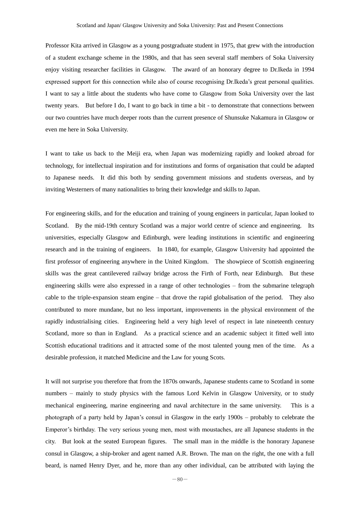Professor Kita arrived in Glasgow as a young postgraduate student in 1975, that grew with the introduction of a student exchange scheme in the 1980s, and that has seen several staff members of Soka University enjoy visiting researcher facilities in Glasgow. The award of an honorary degree to Dr.Ikeda in 1994 expressed support for this connection while also of course recognising Dr.Ikeda's great personal qualities. I want to say a little about the students who have come to Glasgow from Soka University over the last twenty years. But before I do, I want to go back in time a bit - to demonstrate that connections between our two countries have much deeper roots than the current presence of Shunsuke Nakamura in Glasgow or even me here in Soka University.

I want to take us back to the Meiji era, when Japan was modernizing rapidly and looked abroad for technology, for intellectual inspiration and for institutions and forms of organisation that could be adapted to Japanese needs. It did this both by sending government missions and students overseas, and by inviting Westerners of many nationalities to bring their knowledge and skills to Japan.

For engineering skills, and for the education and training of young engineers in particular, Japan looked to Scotland. By the mid-19th century Scotland was a major world centre of science and engineering. Its universities, especially Glasgow and Edinburgh, were leading institutions in scientific and engineering research and in the training of engineers. In 1840, for example, Glasgow University had appointed the first professor of engineering anywhere in the United Kingdom. The showpiece of Scottish engineering skills was the great cantilevered railway bridge across the Firth of Forth, near Edinburgh. But these engineering skills were also expressed in a range of other technologies – from the submarine telegraph cable to the triple-expansion steam engine – that drove the rapid globalisation of the period. They also contributed to more mundane, but no less important, improvements in the physical environment of the rapidly industrialising cities. Engineering held a very high level of respect in late nineteenth century Scotland, more so than in England. As a practical science and an academic subject it fitted well into Scottish educational traditions and it attracted some of the most talented young men of the time. As a desirable profession, it matched Medicine and the Law for young Scots.

It will not surprise you therefore that from the 1870s onwards, Japanese students came to Scotland in some numbers – mainly to study physics with the famous Lord Kelvin in Glasgow University, or to study mechanical engineering, marine engineering and naval architecture in the same university. This is a photograph of a party held by Japan's consul in Glasgow in the early 1900s – probably to celebrate the Emperor's birthday. The very serious young men, most with moustaches, are all Japanese students in the city. But look at the seated European figures. The small man in the middle is the honorary Japanese consul in Glasgow, a ship-broker and agent named A.R. Brown. The man on the right, the one with a full beard, is named Henry Dyer, and he, more than any other individual, can be attributed with laying the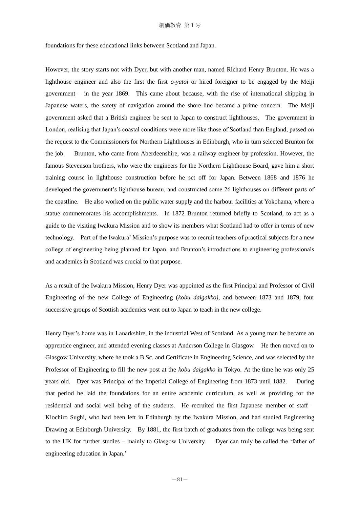## 創価教育 第1号

foundations for these educational links between Scotland and Japan.

However, the story starts not with Dyer, but with another man, named Richard Henry Brunton. He was a lighthouse engineer and also the first the first *o-yatoi* or hired foreigner to be engaged by the Meiji government – in the year 1869. This came about because, with the rise of international shipping in Japanese waters, the safety of navigation around the shore-line became a prime concern. The Meiji government asked that a British engineer be sent to Japan to construct lighthouses. The government in London, realising that Japan's coastal conditions were more like those of Scotland than England, passed on the request to the Commissioners for Northern Lighthouses in Edinburgh, who in turn selected Brunton for the job. Brunton, who came from Aberdeenshire, was a railway engineer by profession. However, the famous Stevenson brothers, who were the engineers for the Northern Lighthouse Board, gave him a short training course in lighthouse construction before he set off for Japan. Between 1868 and 1876 he developed the government's lighthouse bureau, and constructed some 26 lighthouses on different parts of the coastline. He also worked on the public water supply and the harbour facilities at Yokohama, where a statue commemorates his accomplishments. In 1872 Brunton returned briefly to Scotland, to act as a guide to the visiting Iwakura Mission and to show its members what Scotland had to offer in terms of new technology. Part of the Iwakura' Mission's purpose was to recruit teachers of practical subjects for a new college of engineering being planned for Japan, and Brunton's introductions to engineering professionals and academics in Scotland was crucial to that purpose.

As a result of the Iwakura Mission, Henry Dyer was appointed as the first Principal and Professor of Civil Engineering of the new College of Engineering (*kobu daigakko)*, and between 1873 and 1879, four successive groups of Scottish academics went out to Japan to teach in the new college.

Henry Dyer's home was in Lanarkshire, in the industrial West of Scotland. As a young man he became an apprentice engineer, and attended evening classes at Anderson College in Glasgow. He then moved on to Glasgow University, where he took a B.Sc. and Certificate in Engineering Science, and was selected by the Professor of Engineering to fill the new post at the *kobu daigakko* in Tokyo*.* At the time he was only 25 years old. Dyer was Principal of the Imperial College of Engineering from 1873 until 1882. During that period he laid the foundations for an entire academic curriculum, as well as providing for the residential and social well being of the students. He recruited the first Japanese member of staff – Kiochiro Sughi, who had been left in Edinburgh by the Iwakura Mission, and had studied Engineering Drawing at Edinburgh University. By 1881, the first batch of graduates from the college was being sent to the UK for further studies – mainly to Glasgow University. Dyer can truly be called the 'father of engineering education in Japan.'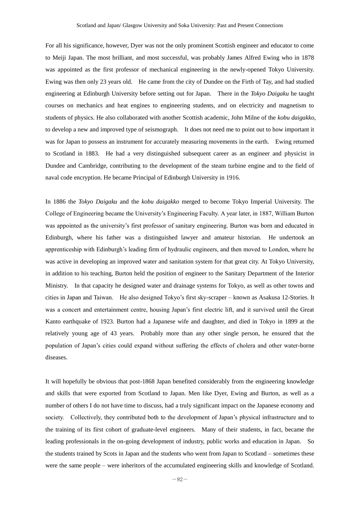For all his significance, however, Dyer was not the only prominent Scottish engineer and educator to come to Meiji Japan. The most brilliant, and most successful, was probably James Alfred Ewing who in 1878 was appointed as the first professor of mechanical engineering in the newly-opened Tokyo University. Ewing was then only 23 years old. He came from the city of Dundee on the Firth of Tay, and had studied engineering at Edinburgh University before setting out for Japan. There in the *Tokyo Daigaku* he taught courses on mechanics and heat engines to engineering students, and on electricity and magnetism to students of physics. He also collaborated with another Scottish academic, John Milne of the *kobu daigakko,*  to develop a new and improved type of seismograph. It does not need me to point out to how important it was for Japan to possess an instrument for accurately measuring movements in the earth. Ewing returned to Scotland in 1883. He had a very distinguished subsequent career as an engineer and physicist in Dundee and Cambridge, contributing to the development of the steam turbine engine and to the field of naval code encryption. He became Principal of Edinburgh University in 1916.

In 1886 the *Tokyo Daigaku* and the *kobu daigakko* merged to become Tokyo Imperial University. The College of Engineering became the University's Engineering Faculty. A year later, in 1887, William Burton was appointed as the university's first professor of sanitary engineering. Burton was born and educated in Edinburgh, where his father was a distinguished lawyer and amateur historian. He undertook an apprenticeship with Edinburgh's leading firm of hydraulic engineers, and then moved to London, where he was active in developing an improved water and sanitation system for that great city. At Tokyo University, in addition to his teaching, Burton held the position of engineer to the Sanitary Department of the Interior Ministry. In that capacity he designed water and drainage systems for Tokyo, as well as other towns and cities in Japan and Taiwan. He also designed Tokyo's first sky-scraper – known as Asakusa 12-Stories. It was a concert and entertainment centre, housing Japan's first electric lift, and it survived until the Great Kanto earthquake of 1923. Burton had a Japanese wife and daughter, and died in Tokyo in 1899 at the relatively young age of 43 years. Probably more than any other single person, he ensured that the population of Japan's cities could expand without suffering the effects of cholera and other water-borne diseases.

It will hopefully be obvious that post-1868 Japan benefited considerably from the engineering knowledge and skills that were exported from Scotland to Japan. Men like Dyer, Ewing and Burton, as well as a number of others I do not have time to discuss, had a truly significant impact on the Japanese economy and society. Collectively, they contributed both to the development of Japan's physical infrastructure and to the training of its first cohort of graduate-level engineers. Many of their students, in fact, became the leading professionals in the on-going development of industry, public works and education in Japan. So the students trained by Scots in Japan and the students who went from Japan to Scotland – sometimes these were the same people – were inheritors of the accumulated engineering skills and knowledge of Scotland.